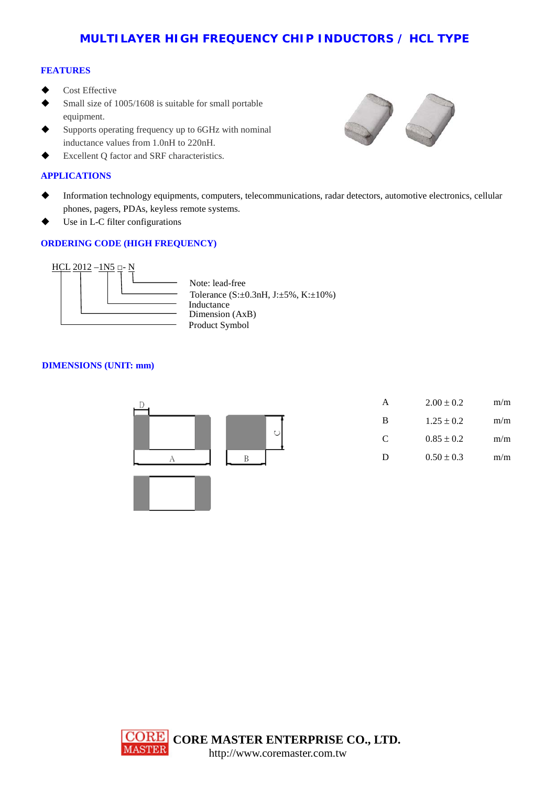## **MULTILAYER HIGH FREQUENCY CHIP INDUCTORS / HCL TYPE**

### **FEATURES**

- Cost Effective
- Small size of 1005/1608 is suitable for small portable equipment.
- Supports operating frequency up to 6GHz with nominal inductance values from 1.0nH to 220nH.
- Excellent Q factor and SRF characteristics.

### **APPLICATIONS**

- Information technology equipments, computers, telecommunications, radar detectors, automotive electronics, cellular phones, pagers, PDAs, keyless remote systems.
- Use in L-C filter configurations

## **ORDERING CODE (HIGH FREQUENCY)**



Tolerance (S:±0.3nH, J:±5%, K:±10%) Product Symbol **Inductance** Dimension (AxB) Note: lead-free

### **DIMENSIONS (UNIT: mm)**



| А | $2.00 \pm 0.2$ | m/m |
|---|----------------|-----|
| B | $1.25 \pm 0.2$ | m/m |
| C | $0.85 \pm 0.2$ | m/m |
| D | $0.50 \pm 0.3$ | m/m |